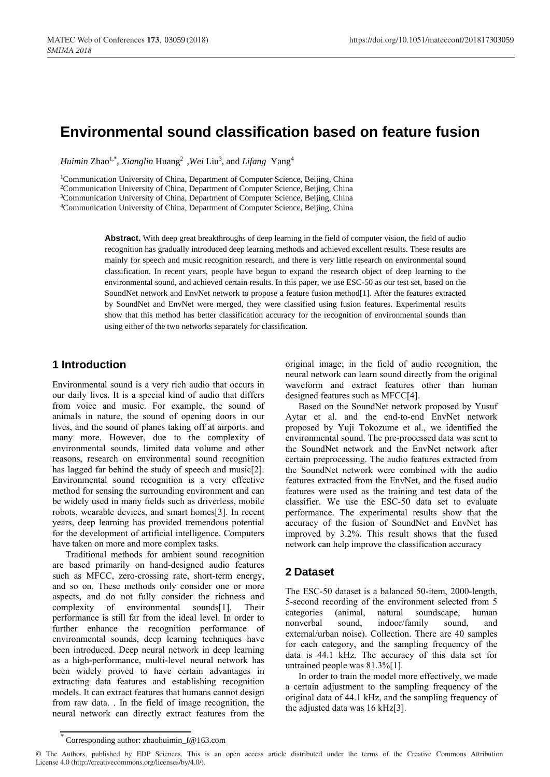# **Environmental sound classification based on feature fusion**

*Huimin Zhao<sup>1,\*</sup>, Xianglin* Huang<sup>2</sup>, *Wei* Liu<sup>3</sup>, and *Lifang* Yang<sup>4</sup>

<sup>1</sup>Communication University of China, Department of Computer Science, Beijing, China <sup>2</sup>Communication University of China, Department of Computer Science, Beijing, China <sup>3</sup>Communication University of China, Department of Computer Science, Beijing, China

<sup>4</sup>Communication University of China, Department of Computer Science, Beijing, China

Abstract. With deep great breakthroughs of deep learning in the field of computer vision, the field of audio recognition has gradually introduced deep learning methods and achieved excellent results. These results are mainly for speech and music recognition research, and there is very little research on environmental sound classification. In recent years, people have begun to expand the research object of deep learning to the environmental sound, and achieved certain results. In this paper, we use ESC-50 as our test set, based on the SoundNet network and EnvNet network to propose a feature fusion method[1]. After the features extracted by SoundNet and EnvNet were merged, they were classified using fusion features. Experimental results show that this method has better classification accuracy for the recognition of environmental sounds than using either of the two networks separately for classification.

# **1 Introduction**

Environmental sound is a very rich audio that occurs in our daily lives. It is a special kind of audio that differs from voice and music. For example, the sound of animals in nature, the sound of opening doors in our lives, and the sound of planes taking off at airports. and many more. However, due to the complexity of environmental sounds, limited data volume and other reasons, research on environmental sound recognition has lagged far behind the study of speech and music[2]. Environmental sound recognition is a very effective method for sensing the surrounding environment and can be widely used in many fields such as driverless, mobile robots, wearable devices, and smart homes[3]. In recent years, deep learning has provided tremendous potential for the development of artificial intelligence. Computers have taken on more and more complex tasks.

Traditional methods for ambient sound recognition are based primarily on hand-designed audio features such as MFCC, zero-crossing rate, short-term energy, and so on. These methods only consider one or more aspects, and do not fully consider the richness and complexity of environmental sounds[1]. Their performance is still far from the ideal level. In order to further enhance the recognition performance of environmental sounds, deep learning techniques have been introduced. Deep neural network in deep learning as a high-performance, multi-level neural network has been widely proved to have certain advantages in extracting data features and establishing recognition models. It can extract features that humans cannot design from raw data. . In the field of image recognition, the neural network can directly extract features from the

original image; in the field of audio recognition, the neural network can learn sound directly from the original waveform and extract features other than human designed features such as MFCC[4].

Based on the SoundNet network proposed by Yusuf Aytar et al. and the end-to-end EnvNet network proposed by Yuji Tokozume et al., we identified the environmental sound. The pre-processed data was sent to the SoundNet network and the EnvNet network after certain preprocessing. The audio features extracted from the SoundNet network were combined with the audio features extracted from the EnvNet, and the fused audio features were used as the training and test data of the classifier. We use the ESC-50 data set to evaluate performance. The experimental results show that the accuracy of the fusion of SoundNet and EnvNet has improved by 3.2%. This result shows that the fused network can help improve the classification accuracy

# **2 Dataset**

The ESC-50 dataset is a balanced 50-item, 2000-length, 5-second recording of the environment selected from 5 categories (animal, natural soundscape, human nonverbal sound, indoor/family sound, and external/urban noise). Collection. There are 40 samples for each category, and the sampling frequency of the data is 44.1 kHz. The accuracy of this data set for untrained people was 81.3%[1].

In order to train the model more effectively, we made a certain adjustment to the sampling frequency of the original data of 44.1 kHz, and the sampling frequency of the adjusted data was 16 kHz[3].

<sup>\*</sup> Corresponding author: zhaohuimin\_f@163.com

<sup>©</sup> The Authors, published by EDP Sciences. This is an open access article distributed under the terms of the Creative Commons Attribution License 4.0 (http://creativecommons.org/licenses/by/4.0/).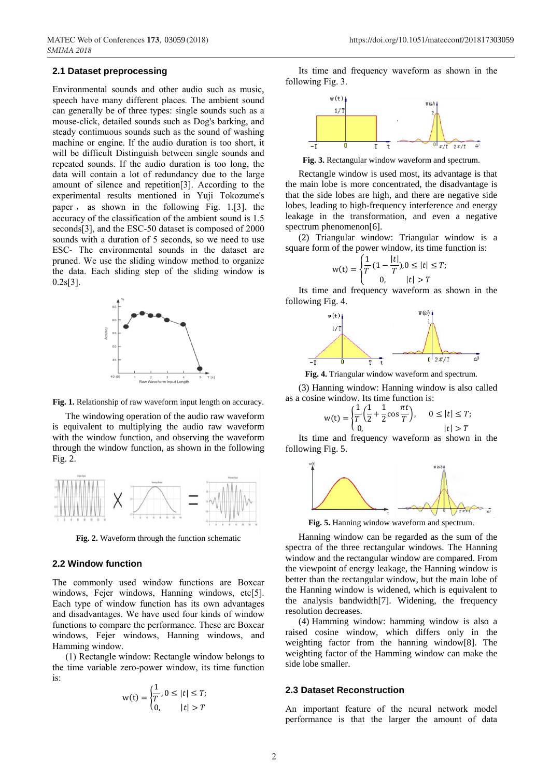#### **2.1 Dataset preprocessing**

Environmental sounds and other audio such as music, speech have many different places. The ambient sound can generally be of three types: single sounds such as a mouse-click, detailed sounds such as Dog's barking, and steady contimuous sounds such as the sound of washing machine or engine. If the audio duration is too short, it will be difficult Distinguish between single sounds and repeated sounds. If the audio duration is too long, the data will contain a lot of redundancy due to the large amount of silence and repetition[3]. According to the experimental results mentioned in Yuji Tokozume's paper , as shown in the following Fig. 1.[3]. the accuracy of the classification of the ambient sound is 1.5 seconds[3], and the ESC-50 dataset is composed of 2000 sounds with a duration of 5 seconds, so we need to use ESC- The environmental sounds in the dataset are pruned. We use the sliding window method to organize the data. Each sliding step of the sliding window is 0.2s[3].



**Fig. 1.** Relationship of raw waveform input length on accuracy.

The windowing operation of the audio raw waveform is equivalent to multiplying the audio raw waveform with the window function, and observing the waveform through the window function, as shown in the following Fig. 2.



**Fig. 2.** Waveform through the function schematic

### **2.2 Window function**

The commonly used window functions are Boxcar windows, Fejer windows, Hanning windows, etc[5]. Each type of window function has its own advantages and disadvantages. We have used four kinds of window functions to compare the performance. These are Boxcar windows, Fejer windows, Hanning windows, and Hamming window.

(1) Rectangle window: Rectangle window belongs to the time variable zero-power window, its time function is:

$$
w(t) = \begin{cases} \frac{1}{T}, 0 \le |t| \le T; \\ 0, |t| > T \end{cases}
$$

Its time and frequency waveform as shown in the following Fig. 3.



**Fig. 3.** Rectangular window waveform and spectrum.

Rectangle window is used most, its advantage is that the main lobe is more concentrated, the disadvantage is that the side lobes are high, and there are negative side lobes, leading to high-frequency interference and energy leakage in the transformation, and even a negative spectrum phenomenon[6].

(2) Triangular window: Triangular window is a square form of the power window, its time function is:

$$
w(t) = \begin{cases} \frac{1}{T} (1 - \frac{|t|}{T}), 0 \le |t| \le T; \\ 0, & |t| > T \end{cases}
$$

Its time and frequency waveform as shown in the following Fig. 4.



**Fig. 4.** Triangular window waveform and spectrum.

(3) Hanning window: Hanning window is also called as a cosine window. Its time function is:

$$
w(t) = \begin{cases} \frac{1}{T} \left( \frac{1}{2} + \frac{1}{2} \cos \frac{\pi t}{T} \right), & 0 \le |t| \le T; \\ 0, & |t| > T \end{cases}
$$

Its time and frequency waveform as shown in the following Fig. 5.



**Fig. 5.** Hanning window waveform and spectrum.

Hanning window can be regarded as the sum of the spectra of the three rectangular windows. The Hanning window and the rectangular window are compared. From the viewpoint of energy leakage, the Hanning window is better than the rectangular window, but the main lobe of the Hanning window is widened, which is equivalent to the analysis bandwidth[7]. Widening, the frequency resolution decreases.

(4) Hamming window: hamming window is also a raised cosine window, which differs only in the weighting factor from the hanning window[8]. The weighting factor of the Hamming window can make the side lobe smaller.

### **2.3 Dataset Reconstruction**

An important feature of the neural network model performance is that the larger the amount of data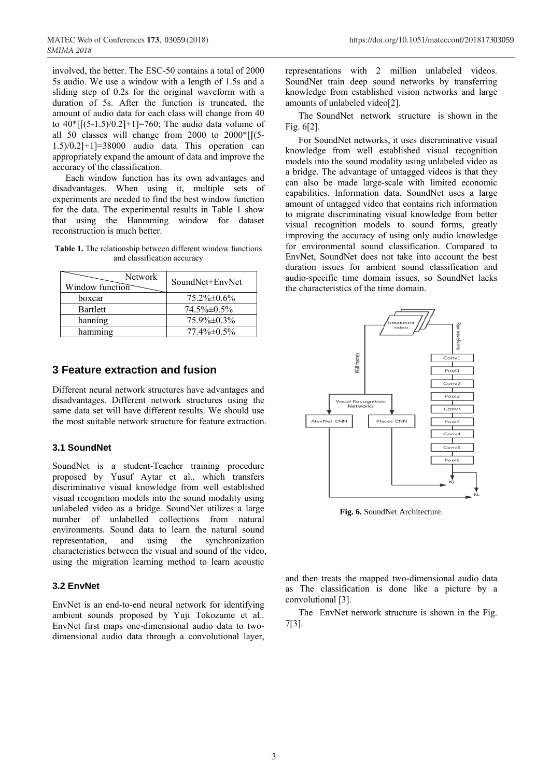involved, the better. The ESC-50 contains a total of 2000 5s audio. We use a window with a length of 1.5s and a sliding step of 0.2s for the original waveform with a duration of 5s. After the function is truncated, the amount of audio data for each class will change from 40 to  $40*[[(5-1.5)/0.2]+1]=760$ ; The audio data volume of all 50 classes will change from 2000 to  $2000$ \*[ $\frac{5}{10}$ ]  $1.5/0.2$ ]+1]=38000 audio data This operation can appropriately expand the amount of data and improve the accuracy of the classification.

Each window function has its own advantages and disadvantages. When using it, multiple sets of experiments are needed to find the best window function for the data. The experimental results in Table 1 show that using the Hanmming window for dataset reconstruction is much better.

**Table 1.** The relationship between different window functions and classification accuracy

| <b>Network</b><br>Window function | SoundNet+EnvNet    |
|-----------------------------------|--------------------|
| boxcar                            | $75.2\% \pm 0.6\%$ |
| Bartlett                          | 74.5% ±0.5%        |
| hanning                           | $75.9\% \pm 0.3\%$ |
| hamming                           | $77.4\% \pm 0.5\%$ |

# **3 Feature extraction and fusion**

Different neural network structures have advantages and disadvantages. Different network structures using the same data set will have different results. We should use the most suitable network structure for feature extraction.

# **3.1 SoundNet**

SoundNet is a student-Teacher training procedure proposed by Yusuf Aytar et al., which transfers discriminative visual knowledge from well established visual recognition models into the sound modality using unlabeled video as a bridge. SoundNet utilizes a large number of unlabelled collections from natural environments. Sound data to learn the natural sound representation, and using the synchronization characteristics between the visual and sound of the video, using the migration learning method to learn acoustic

### **3.2 EnvNet**

EnvNet is an end-to-end neural network for identifying ambient sounds proposed by Yuji Tokozume et al.. EnvNet first maps one-dimensional audio data to twodimensional audio data through a convolutional layer,

representations with 2 million unlabeled videos. SoundNet train deep sound networks by transferring knowledge from established vision networks and large amounts of unlabeled video[2].

The SoundNet network structure is shown in the Fig. 6[2].

For SoundNet networks, it uses discriminative visual knowledge from well established visual recognition models into the sound modality using unlabeled video as a bridge. The advantage of untagged videos is that they can also be made large-scale with limited economic capabilities. Information data. SoundNet uses a large amount of untagged video that contains rich information to migrate discriminating visual knowledge from better visual recognition models to sound forms, greatly improving the accuracy of using only audio knowledge for environmental sound classification. Compared to EnvNet, SoundNet does not take into account the best duration issues for ambient sound classification and audio-specific time domain issues, so SoundNet lacks the characteristics of the time domain.



**Fig. 6.** SoundNet Architecture.

and then treats the mapped two-dimensional audio data as The classification is done like a picture by a convolutional [3].

The EnvNet network structure is shown in the Fig. 7[3].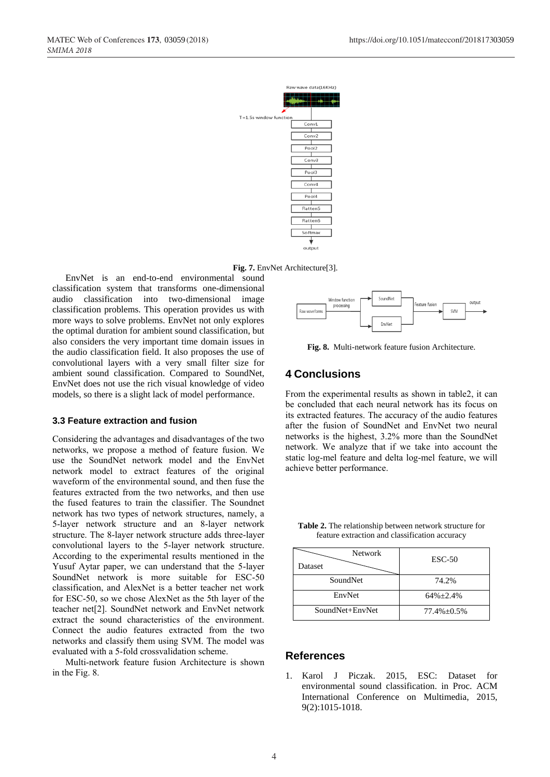

**Fig. 7.** EnvNet Architecture[3].

EnvNet is an end-to-end environmental sound classification system that transforms one-dimensional audio classification into two-dimensional image classification problems. This operation provides us with more ways to solve problems. EnvNet not only explores the optimal duration for ambient sound classification, but also considers the very important time domain issues in the audio classification field. It also proposes the use of convolutional layers with a very small filter size for ambient sound classification. Compared to SoundNet, EnvNet does not use the rich visual knowledge of video models, so there is a slight lack of model performance.

#### **3.3 Feature extraction and fusion**

Considering the advantages and disadvantages of the two networks, we propose a method of feature fusion. We use the SoundNet network model and the EnvNet network model to extract features of the original waveform of the environmental sound, and then fuse the features extracted from the two networks, and then use the fused features to train the classifier. The Soundnet network has two types of network structures, namely, a 5-layer network structure and an 8-layer network structure. The 8-layer network structure adds three-layer convolutional layers to the 5-layer network structure. According to the experimental results mentioned in the Yusuf Aytar paper, we can understand that the 5-layer SoundNet network is more suitable for ESC-50 classification, and AlexNet is a better teacher net work for ESC-50, so we chose AlexNet as the 5th layer of the teacher net[2]. SoundNet network and EnvNet network extract the sound characteristics of the environment. Connect the audio features extracted from the two networks and classify them using SVM. The model was evaluated with a 5-fold crossvalidation scheme.

Multi-network feature fusion Architecture is shown in the Fig. 8.



**Fig. 8.** Multi-network feature fusion Architecture.

### **4 Conclusions**

From the experimental results as shown in table2, it can be concluded that each neural network has its focus on its extracted features. The accuracy of the audio features after the fusion of SoundNet and EnvNet two neural networks is the highest, 3.2% more than the SoundNet network. We analyze that if we take into account the static log-mel feature and delta log-mel feature, we will achieve better performance.

**Table 2.** The relationship between network structure for feature extraction and classification accuracy

| <b>Network</b><br>Dataset | $ESC-50$         |
|---------------------------|------------------|
| SoundNet                  | 74.2%            |
| EnvNet                    | $64\% + 2.4\%$   |
| SoundNet+EnvNet           | $77.4\% + 0.5\%$ |

## **References**

1. Karol J Piczak. 2015, ESC: Dataset for environmental sound classification. in Proc. ACM International Conference on Multimedia, 2015, 9(2):1015-1018.